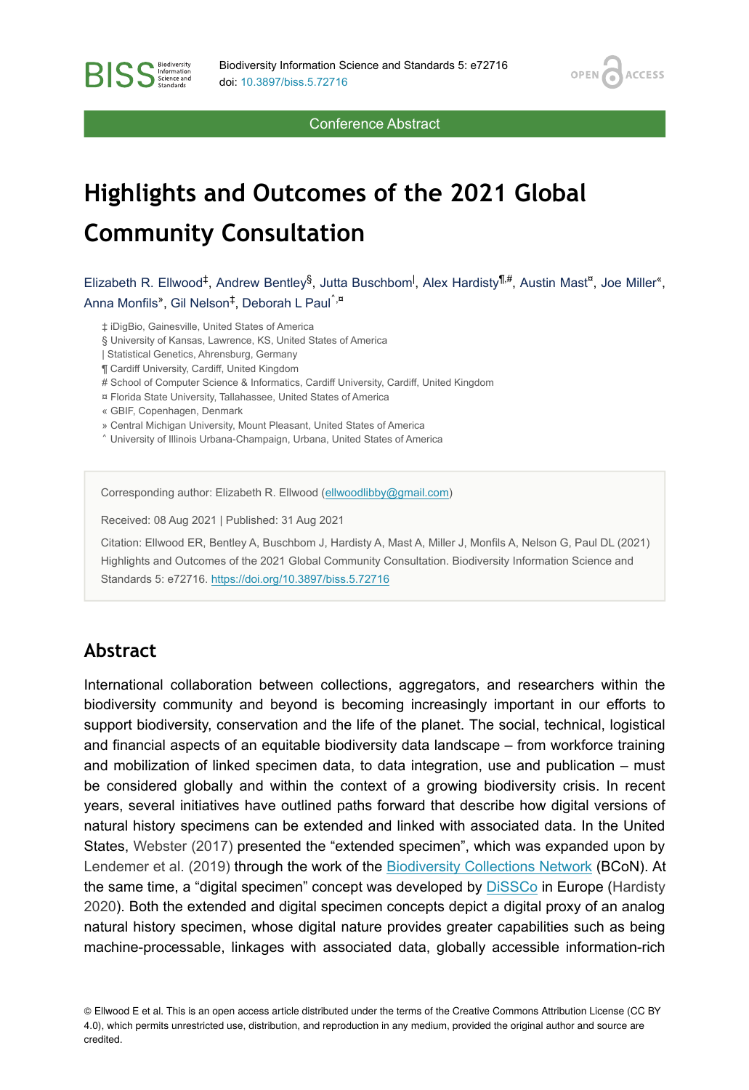OPEN /

**ACCESS** 

Conference Abstract

# **Highlights and Outcomes of the 2021 Global Community Consultation**

Elizabeth R. Ellwood<sup>‡</sup>, Andrew Bentley<sup>§</sup>, Jutta Buschbom<sup>I</sup>, Alex Hardisty<sup>¶,#</sup>, Austin Mast<sup>¤</sup>, Joe Miller<sup>«</sup>, Anna Monfils", Gil Nelson<sup>‡</sup>, Deborah L Paul<sup>^,¤</sup>

‡ iDigBio, Gainesville, United States of America

- § University of Kansas, Lawrence, KS, United States of America
- | Statistical Genetics, Ahrensburg, Germany
- ¶ Cardiff University, Cardiff, United Kingdom
- # School of Computer Science & Informatics, Cardiff University, Cardiff, United Kingdom
- ¤ Florida State University, Tallahassee, United States of America
- « GBIF, Copenhagen, Denmark

**BISS** Steince and

- » Central Michigan University, Mount Pleasant, United States of America
- ˄ University of Illinois Urbana-Champaign, Urbana, United States of America

Corresponding author: Elizabeth R. Ellwood ([ellwoodlibby@gmail.com](mailto:ellwoodlibby@gmail.com))

Received: 08 Aug 2021 | Published: 31 Aug 2021

Citation: Ellwood ER, Bentley A, Buschbom J, Hardisty A, Mast A, Miller J, Monfils A, Nelson G, Paul DL (2021) Highlights and Outcomes of the 2021 Global Community Consultation. Biodiversity Information Science and Standards 5: e72716. <https://doi.org/10.3897/biss.5.72716>

#### **Abstract**

International collaboration between collections, aggregators, and researchers within the biodiversity community and beyond is becoming increasingly important in our efforts to support biodiversity, conservation and the life of the planet. The social, technical, logistical and financial aspects of an equitable biodiversity data landscape – from workforce training and mobilization of linked specimen data, to data integration, use and publication – must be considered globally and within the context of a growing biodiversity crisis. In recent years, several initiatives have outlined paths forward that describe how digital versions of natural history specimens can be extended and linked with associated data. In the United States, [Webster \(2017\)](#page-2-0) presented the "extended specimen", which was expanded upon by [Lendemer et al. \(2019\)](#page-2-1) through the work of the [Biodiversity Collections Network](https://bcon.aibs.org/) (BCoN). At the same time, a "digital specimen" concept was developed by [DiSSCo](https://www.dissco.eu/) in Europe [\(Hardisty](#page-2-2) [2020](#page-2-2)). Both the extended and digital specimen concepts depict a digital proxy of an analog natural history specimen, whose digital nature provides greater capabilities such as being machine-processable, linkages with associated data, globally accessible information-rich

© Ellwood E et al. This is an open access article distributed under the terms of the Creative Commons Attribution License (CC BY 4.0), which permits unrestricted use, distribution, and reproduction in any medium, provided the original author and source are credited.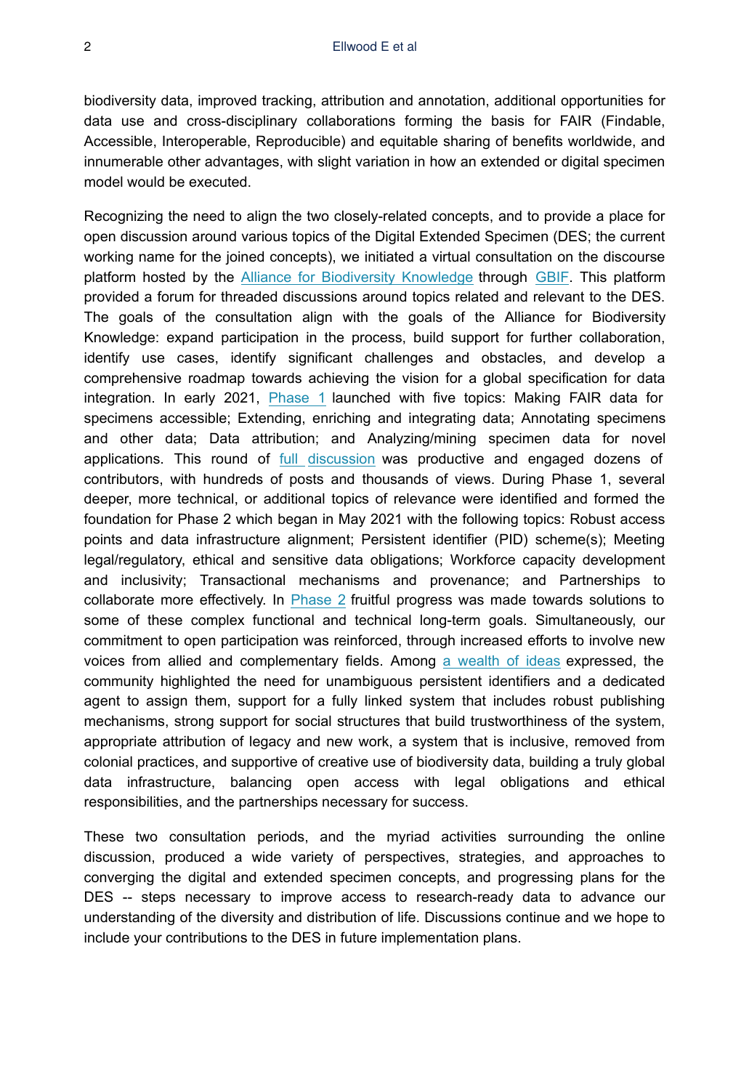biodiversity data, improved tracking, attribution and annotation, additional opportunities for data use and cross-disciplinary collaborations forming the basis for FAIR (Findable, Accessible, Interoperable, Reproducible) and equitable sharing of benefits worldwide, and innumerable other advantages, with slight variation in how an extended or digital specimen model would be executed.

Recognizing the need to align the two closely-related concepts, and to provide a place for open discussion around various topics of the Digital Extended Specimen (DES; the current working name for the joined concepts), we initiated a virtual consultation on the discourse platform hosted by the [Alliance for Biodiversity Knowledge](https://www.allianceforbio.org/) through [GBIF](https://www.gbif.org/). This platform provided a forum for threaded discussions around topics related and relevant to the DES. The goals of the consultation align with the goals of the Alliance for Biodiversity Knowledge: expand participation in the process, build support for further collaboration, identify use cases, identify significant challenges and obstacles, and develop a comprehensive roadmap towards achieving the vision for a global specification for data integration. In early 2021, [Phase 1](https://discourse.gbif.org/t/converging-digital-specimens-and-extended-specimens-towards-a-global-specification-for-data-integration-phase-1/2394) launched with five topics: Making FAIR data for specimens accessible; Extending, enriching and integrating data; Annotating specimens and other data; Data attribution; and Analyzing/mining specimen data for novel applications. This round of [full discussion](https://discourse.gbif.org/t/converging-digital-specimens-and-extended-specimens-towards-a-global-specification-for-data-integration-phase-1/2394) was productive and engaged dozens of contributors, with hundreds of posts and thousands of views. During Phase 1, several deeper, more technical, or additional topics of relevance were identified and formed the foundation for Phase 2 which began in May 2021 with the following topics: Robust access points and data infrastructure alignment; Persistent identifier (PID) scheme(s); Meeting legal/regulatory, ethical and sensitive data obligations; Workforce capacity development and inclusivity; Transactional mechanisms and provenance; and Partnerships to collaborate more effectively. In [Phase 2](https://discourse.gbif.org/t/digital-extended-specimens-phase-2/2651) fruitful progress was made towards solutions to some of these complex functional and technical long-term goals. Simultaneously, our commitment to open participation was reinforced, through increased efforts to involve new voices from allied and complementary fields. Among [a wealth of ideas](https://discourse.gbif.org/t/digital-extended-specimens-phase-2/2651) expressed, the community highlighted the need for unambiguous persistent identifiers and a dedicated agent to assign them, support for a fully linked system that includes robust publishing mechanisms, strong support for social structures that build trustworthiness of the system, appropriate attribution of legacy and new work, a system that is inclusive, removed from colonial practices, and supportive of creative use of biodiversity data, building a truly global data infrastructure, balancing open access with legal obligations and ethical responsibilities, and the partnerships necessary for success.

These two consultation periods, and the myriad activities surrounding the online discussion, produced a wide variety of perspectives, strategies, and approaches to converging the digital and extended specimen concepts, and progressing plans for the DES -- steps necessary to improve access to research-ready data to advance our understanding of the diversity and distribution of life. Discussions continue and we hope to include your contributions to the DES in future implementation plans.